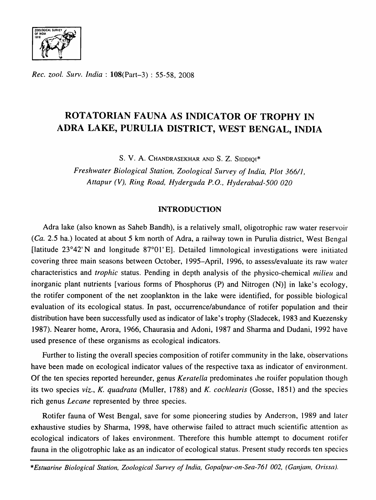

*Rec. zool. Surv. India:* l08(Part-3) : 55-58, 2008

# ROTATORIAN FAUNA AS INDICATOR OF TROPHY IN ADRA LAKE, PURULIA DISTRICT, WEST BENGAL, INDIA

S. v. A. CHANDRASEKHAR AND S. Z. SIDDIQI\*

*Freshwater Biological Station, Zoological Survey of India, Plot 366//, Attapur (V), Ring Road, Hyderguda P.O., Hyderabad-500 020* 

# INTRODUCTION

Adra lake (also known as Saheb Bandh), is a relatively small, oligotrophic raw water reservoir (Ca. 2.5 ha.) located at about 5 km north of Adra, a railway town in Purulia district, West Bengal [latitude 23°42' N and longitude 87°01' E]. Detailed limnological investigations were initiated covering three main seasons between October, 1995-April, 1996, to assess/evaluate its raw water characteristics and *trophic* status. Pending in depth analysis of the physico-chemical *milieu* and inorganic plant nutrients [various forms of Phosphorus (P) and Nitrogen (N)] in lake's ecology, the rotifer component of the net zooplankton in the lake were identified, for possible biological evaluation of its ecological status. In past, occurrence/abundance of rotifer population and their distribution have been successfully used as indicator of lake's trophy (Sladecek, 1983 and Kuezensky 1987). Nearer home, Arora, 1966, Chaurasia and Adoni, 1987 and Sharma and Dudani, 1992 have used presence of these organisms as ecological indicators.

Further to listing the overall species composition of rotifer community in the lake, observations have been made on ecological indicator values of the respective taxa as indicator of environment. Of the ten species reported hereunder, genus *Keratella* predominates the rolifer population though its two species *viz., K. quadrata* (Muller, 1788) and *K. cochlearis* (Gosse, 1851) and the species rich genus *Lecane* represented by three species.

Rotifer fauna of West Bengal, save for some pioneering studies by Anderson, 1989 and later exhaustive studies by Sharma, 1998, have otherwise failed to attract much scientific attention as ecological indicators of lakes environment. Therefore this humble attempt to document rotifer fauna in the oligotrophic lake as an indicator of ecological status. Present study records ten species

*\*Estuarine Biological Station, Zoological Survey of India, Gopalpur-on-Sea-761 002, (Ganjam, Orissa),*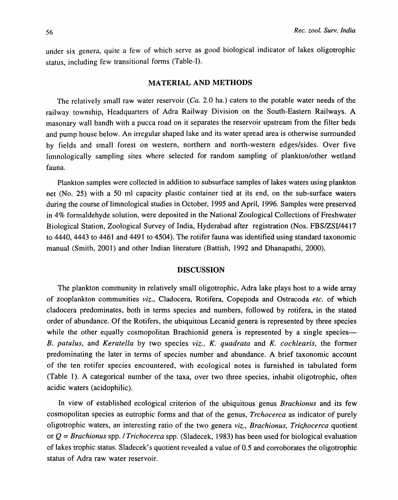under six genera, quite a few of which serve as good biological indicator of lakes oligotrophic status, including few transitional forms (Table-I).

### MATERIAL AND METHODS

The relatively small raw water reservoir  $(Ca. 2.0 \text{ ha.})$  caters to the potable water needs of the railway township, Headquarters of Adra Railway Division on the South-Eastern Railways. A masonary wall bandh with a pucca road on it separates the reservoir upstream from the filter beds and pump house below. An irregular shaped lake and its water spread area is otherwise surrounded by fields and small forest on western, northern and north-western edges/sides. Over five limnologically sampling sites where selected for random sampling of plankton/other wetland fauna.

Plankton samples were collected in addition to subsurface samples of lakes waters using plankton net (No. 25) with a 50 ml capacity plastic container tied at its end, on the sub-surface waters during the course of limnological studies in October, 1995 and April, 1996. Samples were preserved in 4% formaldehyde solution, were deposited in the National Zoological Collections of Freshwater Biological Station, Zoological Survey of India, Hyderabad after registration (Nos. FBS/ZSII4417 to 4440, 4443 to 4461 and 4491 to 4504). The rotifer fauna was identified using standard taxonomic manual (Smith, 2001) and other Indian literature (Battish, 1992 and Dhanapathi, 2000).

## DISCUSSION

The plankton community in relatively small oligotrophic, Adra lake plays host to a wide array of zooplankton communities *viz.,* Cladocera, Rotifera, Copepoda and Ostracoda *etc.* of which cladocera predominates, both in terms species and numbers, followed by rotifera, in the stated order of abundance. Of the Rotifers, the ubiquitous Lecanid genera is represented by three species while the other equally cosmopolitan Brachionid genera is represented by a single species-*B. patulus,* and *Keratella* by two species *viz., K. quadrata* and *K. cochlearis,* the former predominating the later in terms of species number and abundance. A brief taxonomic account of the ten rotifer species encountered, with ecological notes is furnished in tabulated form (Table 1). A categorical number of the taxa, over two three species, inhabit oligotrophic, often acidic waters (acidophilic).

In view of established ecological criterion of the ubiquitous genus *Brachionus* and its few cosmopolitan species as eutrophic forms and that of the genus, *Trchocerca* as indicator of purely oligotrophic waters, an interesting ratio of the two genera *viz., Brachionus, Trichocerca* quotient or Q = *Brachionus* spp. / *Trichocerca* spp. (Sladecek, 1983) has been used for biological evaluation of lakes trophic status. Sladecek's quotient revealed a value of 0.5 and corroborates the oligotrophic status of Adra raw water reservoir.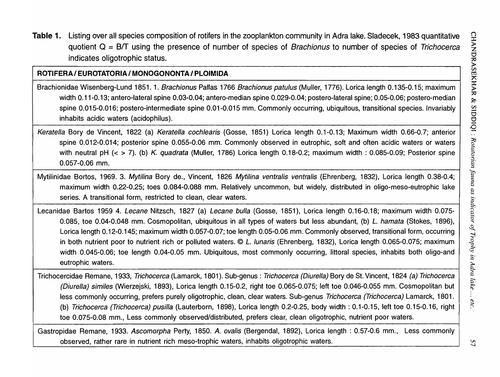Table 1. Listing over all species composition of rotifers in the zooplankton community in Adra lake. Siadecek, 1983 quantitative quotient  $Q = B/T$  using the presence of number of species of Brachionus to number of species of Trichocerca indicates oligotrophic status.

# ROTIFERA / EUROTATORIA / MONOGONONTA / PLOIMIDA

Brachionidae Wisenberg-Lund 1851. 1. Brachionus Pallas 1766 Brachionus patulus (Muller, 1776). Lorica length 0.135-0.15; maximum width 0.11-0.13; antero-lateral spine 0.03-0.04; antero-median spine 0.029-0.04; postero-lateral spine; 0.05-0.06; postero-median spine 0.015-0.016; postero-intermediate spine 0.01-0.015 mm. Commonly occurring, ubiquitous, transitional species. Invariably inhabits acidic waters (acidophilus).

Keratella Bory de Vincent, 1822 (a) Keratella cochlearis (Gosse, 1851) Lorica length 0.1-0.13; Maximum width 0.66-0.7; anterior spine 0.012-0.014; posterior spine 0.055-0.06 mm. Commonly observed in eutrophic, soft and often acidic waters or waters with neutral pH  $(<$  > 7). (b) K. quadrata (Muller, 1786) Lorica length 0.18-0.2; maximum width : 0.085-0.09; Posterior spine 0.057-0.06 mm.

Mytilinidae Bortos, 1969. 3. Mytilina Bory de., Vincent, 1826 Mytilina ventralis ventralis (Ehrenberg, 1832), Lorica length 0.38-0.4; maximum width 0.22-0.25; toes 0.084-0.088 mm. Relatively uncommon, but widely, distributed in oligo-meso-eutrophic lake series. A transitional form, restricted to clean, clear waters.

Lecanidae Bartos 1959 4. Lecane Nitzsch, 1827 (a) Lecane bulla (Gosse, 1851), Lorica length 0.16-0.18; maximum width 0.075- 0.085, toe 0.04-0.048 mm. Cosmopolitan, ubiquitous in all types of waters but less abundant, (b) L. hamata (Stokes, 1896), Lorica length 0.12-0.145; maximum width 0.057-0.07; toe length 0.05-0.06 mm. Commonly observed, transitional form, occurring in both nutrient poor to nutrient rich or polluted waters. © L. lunaris (Ehrenberg, 1832), Lorica length 0.065-0.075; maximum width 0.045-0.06; toe length 0.04-0.05 mm. Ubiquitous, most commonly occurring, littoral species, inhabits both oligo-and eutrophic waters.

Trichocercidae Remane, 1933, Trichocerca (Lamarck, 1801). Sub-genus: Trichocerca (Diurella) 80ry de St. Vincent, 1824 (a) Trichocerca (Diurella) similes (Wierzejski, 1893), Lorica length 0.15-0.2, right toe 0.065-0.075; left toe 0.046-0.055 mm. Cosmopolitan but less commonly occurring, prefers purely oligotrophic, clean, clear waters. Sub-genus Trichocerca (Trichocerca) Lamarck, 1801. (b) Trichocerca (Trichocerca) pusilla (Lauterborn, 1898), Lorica length 0.2-0.25, body width: 0.1-0.15, left toe 0.15-0.16, right toe 0.075-0.08 mm., Less commonly observed/distributed, prefers clear, clean oligotrophic, nutrient poor waters.

Gastropidae Remane, 1933. Ascomorpha Perty, 1850. A. ovalis (Bergendal, 1892), Lorica length: 0.57-0.6 mm., Less commonly observed, rather rare in nutrient rich meso-trophic waters, inhabits oligotrophic waters.